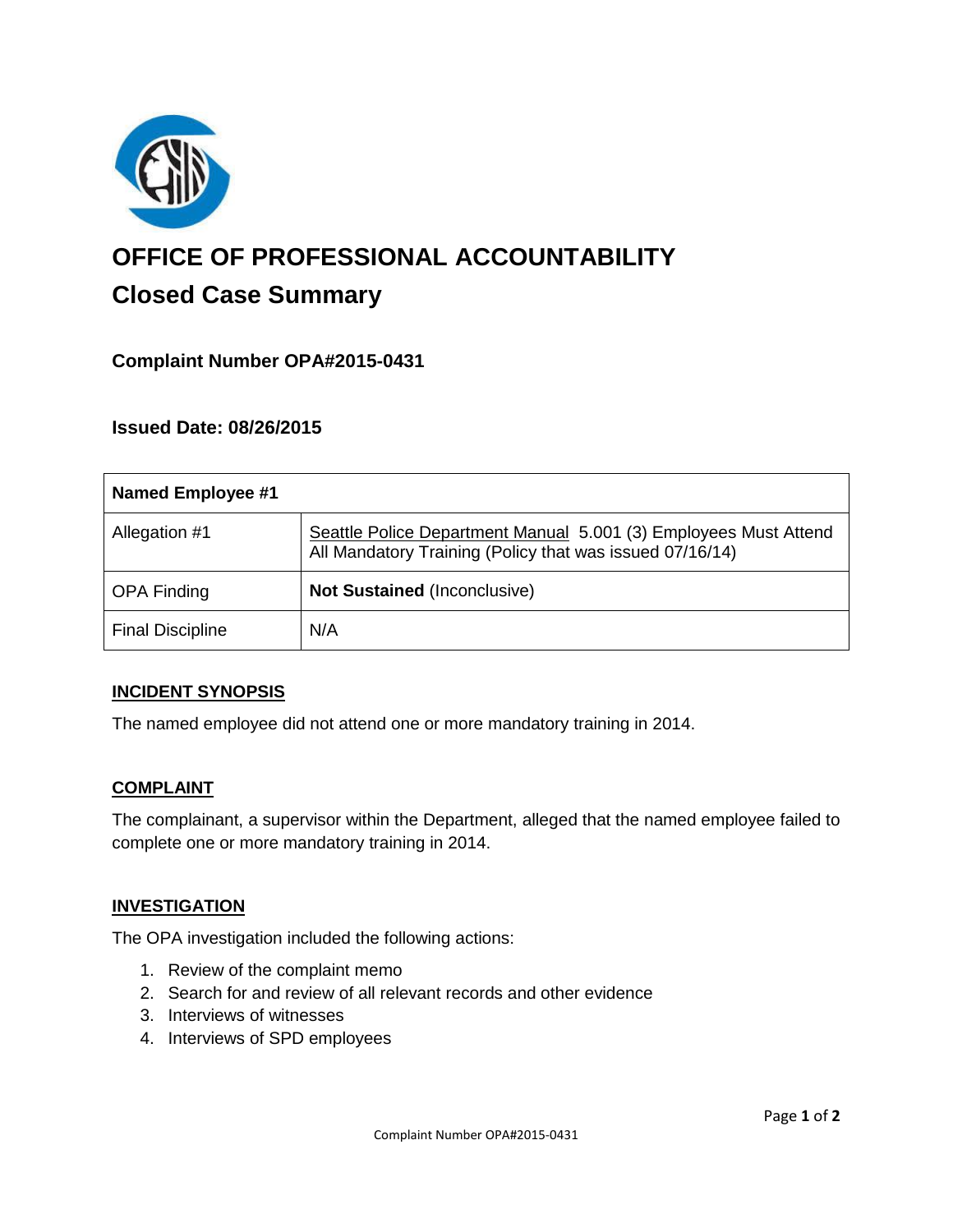

# **OFFICE OF PROFESSIONAL ACCOUNTABILITY Closed Case Summary**

# **Complaint Number OPA#2015-0431**

## **Issued Date: 08/26/2015**

| <b>Named Employee #1</b> |                                                                                                                              |
|--------------------------|------------------------------------------------------------------------------------------------------------------------------|
| Allegation #1            | Seattle Police Department Manual 5.001 (3) Employees Must Attend<br>All Mandatory Training (Policy that was issued 07/16/14) |
| <b>OPA Finding</b>       | <b>Not Sustained (Inconclusive)</b>                                                                                          |
| <b>Final Discipline</b>  | N/A                                                                                                                          |

#### **INCIDENT SYNOPSIS**

The named employee did not attend one or more mandatory training in 2014.

#### **COMPLAINT**

The complainant, a supervisor within the Department, alleged that the named employee failed to complete one or more mandatory training in 2014.

#### **INVESTIGATION**

The OPA investigation included the following actions:

- 1. Review of the complaint memo
- 2. Search for and review of all relevant records and other evidence
- 3. Interviews of witnesses
- 4. Interviews of SPD employees